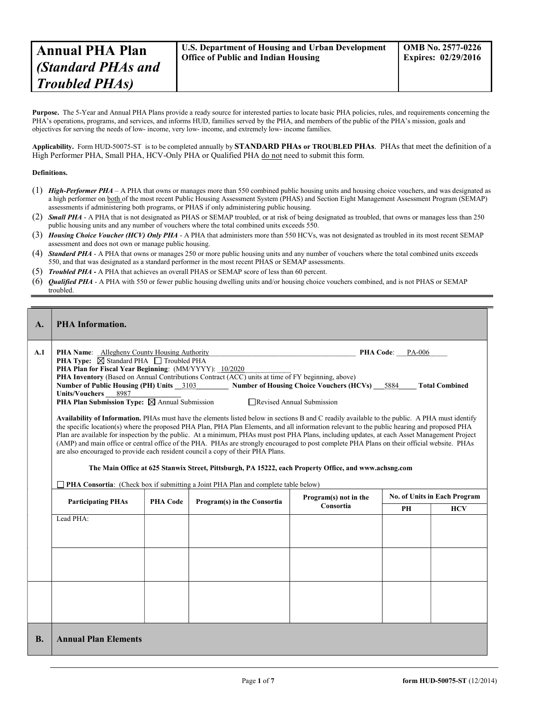Purpose. The 5-Year and Annual PHA Plans provide a ready source for interested parties to locate basic PHA policies, rules, and requirements concerning the PHA's operations, programs, and services, and informs HUD, families served by the PHA, and members of the public of the PHA's mission, goals and objectives for serving the needs of low- income, very low- income, and extremely low- income families.

Applicability. Form HUD-50075-ST is to be completed annually by STANDARD PHAs or TROUBLED PHAs. PHAs that meet the definition of a High Performer PHA, Small PHA, HCV-Only PHA or Qualified PHA do not need to submit this form.

## Definitions.

- (1) High-Performer PHA A PHA that owns or manages more than 550 combined public housing units and housing choice vouchers, and was designated as a high performer on both of the most recent Public Housing Assessment System (PHAS) and Section Eight Management Assessment Program (SEMAP) assessments if administering both programs, or PHAS if only administering public housing.
- (2) Small PHA A PHA that is not designated as PHAS or SEMAP troubled, or at risk of being designated as troubled, that owns or manages less than 250 public housing units and any number of vouchers where the total combined units exceeds 550.
- (3) Housing Choice Voucher (HCV) Only PHA A PHA that administers more than 550 HCVs, was not designated as troubled in its most recent SEMAP assessment and does not own or manage public housing.
- (4) **Standard PHA** A PHA that owns or manages 250 or more public housing units and any number of vouchers where the total combined units exceeds 550, and that was designated as a standard performer in the most recent PHAS or SEMAP assessments.
- (5) Troubled PHA A PHA that achieves an overall PHAS or SEMAP score of less than 60 percent.
- (6) Qualified PHA A PHA with 550 or fewer public housing dwelling units and/or housing choice vouchers combined, and is not PHAS or SEMAP troubled.

| $\mathbf{A}$ . | <b>PHA</b> Information.                                                                                                                                                                                                                                                                                                                                                                                                                                                                                                                                                                                                                                                                                                                                                                                                                                                                                                                                                                                                                                                                                                                                                                                                                                                                                                                                                                                                                                                 |                 |                             |                                    |                              |            |  |
|----------------|-------------------------------------------------------------------------------------------------------------------------------------------------------------------------------------------------------------------------------------------------------------------------------------------------------------------------------------------------------------------------------------------------------------------------------------------------------------------------------------------------------------------------------------------------------------------------------------------------------------------------------------------------------------------------------------------------------------------------------------------------------------------------------------------------------------------------------------------------------------------------------------------------------------------------------------------------------------------------------------------------------------------------------------------------------------------------------------------------------------------------------------------------------------------------------------------------------------------------------------------------------------------------------------------------------------------------------------------------------------------------------------------------------------------------------------------------------------------------|-----------------|-----------------------------|------------------------------------|------------------------------|------------|--|
| A.1            | <b>PHA Name:</b> Allegheny County Housing Authority<br>PHA Code: PA-006<br><b>PHA Type:</b> $\boxtimes$ Standard PHA $\Box$ Troubled PHA<br>PHA Plan for Fiscal Year Beginning: (MM/YYYY): 10/2020<br><b>PHA Inventory</b> (Based on Annual Contributions Contract (ACC) units at time of FY beginning, above)<br>Number of Public Housing (PH) Units 3103<br><b>Number of Housing Choice Vouchers (HCVs)</b> 5884<br><b>Total Combined</b><br><b>Units/Vouchers</b><br>8987<br><b>PHA Plan Submission Type:</b> $\boxtimes$ Annual Submission<br>□ Revised Annual Submission<br>Availability of Information. PHAs must have the elements listed below in sections B and C readily available to the public. A PHA must identify<br>the specific location(s) where the proposed PHA Plan, PHA Plan Elements, and all information relevant to the public hearing and proposed PHA<br>Plan are available for inspection by the public. At a minimum, PHAs must post PHA Plans, including updates, at each Asset Management Project<br>(AMP) and main office or central office of the PHA. PHAs are strongly encouraged to post complete PHA Plans on their official website. PHAs<br>are also encouraged to provide each resident council a copy of their PHA Plans.<br>The Main Office at 625 Stanwix Street, Pittsburgh, PA 15222, each Property Office, and www.achsng.com<br><b>PHA Consortia:</b> (Check box if submitting a Joint PHA Plan and complete table below) |                 |                             |                                    |                              |            |  |
|                | <b>Participating PHAs</b>                                                                                                                                                                                                                                                                                                                                                                                                                                                                                                                                                                                                                                                                                                                                                                                                                                                                                                                                                                                                                                                                                                                                                                                                                                                                                                                                                                                                                                               | <b>PHA Code</b> | Program(s) in the Consortia | Program(s) not in the<br>Consortia | No. of Units in Each Program |            |  |
|                | Lead PHA:                                                                                                                                                                                                                                                                                                                                                                                                                                                                                                                                                                                                                                                                                                                                                                                                                                                                                                                                                                                                                                                                                                                                                                                                                                                                                                                                                                                                                                                               |                 |                             |                                    | PH                           | <b>HCV</b> |  |
|                |                                                                                                                                                                                                                                                                                                                                                                                                                                                                                                                                                                                                                                                                                                                                                                                                                                                                                                                                                                                                                                                                                                                                                                                                                                                                                                                                                                                                                                                                         |                 |                             |                                    |                              |            |  |
| <b>B.</b>      | <b>Annual Plan Elements</b>                                                                                                                                                                                                                                                                                                                                                                                                                                                                                                                                                                                                                                                                                                                                                                                                                                                                                                                                                                                                                                                                                                                                                                                                                                                                                                                                                                                                                                             |                 |                             |                                    |                              |            |  |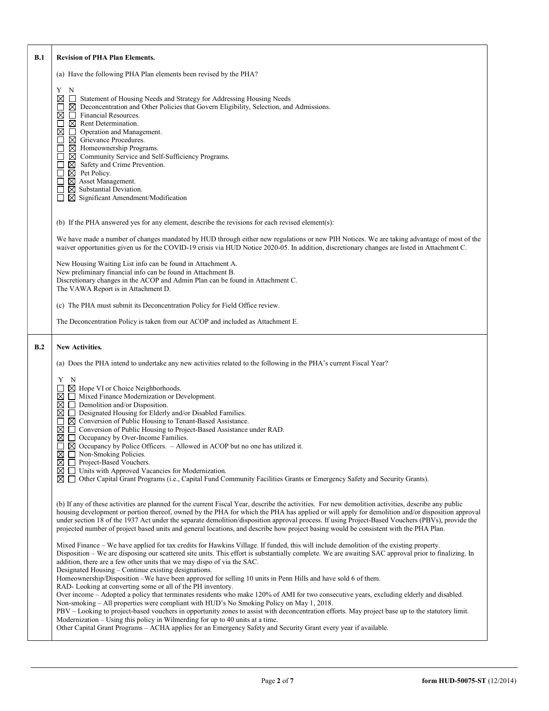| B.1 | <b>Revision of PHA Plan Elements.</b>                                                                                                                                                                                                                                                                                                                                                                                                                                                                                                                                                                                                                                                                                                                                                                                                                                                                                                                                                                                                                                                                                                                                                                              |  |  |  |  |  |
|-----|--------------------------------------------------------------------------------------------------------------------------------------------------------------------------------------------------------------------------------------------------------------------------------------------------------------------------------------------------------------------------------------------------------------------------------------------------------------------------------------------------------------------------------------------------------------------------------------------------------------------------------------------------------------------------------------------------------------------------------------------------------------------------------------------------------------------------------------------------------------------------------------------------------------------------------------------------------------------------------------------------------------------------------------------------------------------------------------------------------------------------------------------------------------------------------------------------------------------|--|--|--|--|--|
|     | (a) Have the following PHA Plan elements been revised by the PHA?                                                                                                                                                                                                                                                                                                                                                                                                                                                                                                                                                                                                                                                                                                                                                                                                                                                                                                                                                                                                                                                                                                                                                  |  |  |  |  |  |
|     | Y N<br>⊠<br>Statement of Housing Needs and Strategy for Addressing Housing Needs<br>$\Box$<br>$\boxtimes$ Deconcentration and Other Policies that Govern Eligibility, Selection, and Admissions.<br>Financial Resources.<br>⊠<br>$\boxtimes$ Rent Determination.<br>l 1<br>⊠<br>□ Operation and Management.<br>$\boxtimes$ Grievance Procedures.<br>$\boxtimes$ Homeownership Programs.<br>⊠ Community Service and Self-Sufficiency Programs.<br>$\boxtimes$ Safety and Crime Prevention.<br>$\boxtimes$ Pet Policy.<br>$\boxtimes$ Asset Management.<br>$\boxtimes$ Substantial Deviation.<br>$\perp$<br>$\Box$ Significant Amendment/Modification                                                                                                                                                                                                                                                                                                                                                                                                                                                                                                                                                                |  |  |  |  |  |
|     | (b) If the PHA answered yes for any element, describe the revisions for each revised element(s):                                                                                                                                                                                                                                                                                                                                                                                                                                                                                                                                                                                                                                                                                                                                                                                                                                                                                                                                                                                                                                                                                                                   |  |  |  |  |  |
|     | We have made a number of changes mandated by HUD through either new regulations or new PIH Notices. We are taking advantage of most of the<br>waiver opportunities given us for the COVID-19 crisis via HUD Notice 2020-05. In addition, discretionary changes are listed in Attachment C.                                                                                                                                                                                                                                                                                                                                                                                                                                                                                                                                                                                                                                                                                                                                                                                                                                                                                                                         |  |  |  |  |  |
|     | New Housing Waiting List info can be found in Attachment A.<br>New preliminary financial info can be found in Attachment B.<br>Discretionary changes in the ACOP and Admin Plan can be found in Attachment C.<br>The VAWA Report is in Attachment D.                                                                                                                                                                                                                                                                                                                                                                                                                                                                                                                                                                                                                                                                                                                                                                                                                                                                                                                                                               |  |  |  |  |  |
|     | (c) The PHA must submit its Deconcentration Policy for Field Office review.                                                                                                                                                                                                                                                                                                                                                                                                                                                                                                                                                                                                                                                                                                                                                                                                                                                                                                                                                                                                                                                                                                                                        |  |  |  |  |  |
|     | The Deconcentration Policy is taken from our ACOP and included as Attachment E.                                                                                                                                                                                                                                                                                                                                                                                                                                                                                                                                                                                                                                                                                                                                                                                                                                                                                                                                                                                                                                                                                                                                    |  |  |  |  |  |
| B.2 | <b>New Activities.</b>                                                                                                                                                                                                                                                                                                                                                                                                                                                                                                                                                                                                                                                                                                                                                                                                                                                                                                                                                                                                                                                                                                                                                                                             |  |  |  |  |  |
|     | (a) Does the PHA intend to undertake any new activities related to the following in the PHA's current Fiscal Year?                                                                                                                                                                                                                                                                                                                                                                                                                                                                                                                                                                                                                                                                                                                                                                                                                                                                                                                                                                                                                                                                                                 |  |  |  |  |  |
|     | Y N<br>$\boxtimes$ Hope VI or Choice Neighborhoods.<br>Mixed Finance Modernization or Development.<br>⊠<br>⊠<br>Demolition and/or Disposition.<br>⊔<br>□ Designated Housing for Elderly and/or Disabled Families.<br>⊠<br>$\boxtimes$ Conversion of Public Housing to Tenant-Based Assistance.<br>⊠<br>□ Conversion of Public Housing to Project-Based Assistance under RAD.<br>⊠<br>Occupancy by Over-Income Families.<br>ப<br>$\boxtimes$ Occupancy by Police Officers. $-$ Allowed in ACOP but no one has utilized it.<br>ΙI<br>Non-Smoking Policies.<br>⊠<br>⊠<br>Project-Based Vouchers.<br>□ Units with Approved Vacancies for Modernization.<br>⊠<br>⊠ □ Other Capital Grant Programs (i.e., Capital Fund Community Facilities Grants or Emergency Safety and Security Grants).                                                                                                                                                                                                                                                                                                                                                                                                                             |  |  |  |  |  |
|     | (b) If any of these activities are planned for the current Fiscal Year, describe the activities. For new demolition activities, describe any public<br>housing development or portion thereof, owned by the PHA for which the PHA has applied or will apply for demolition and/or disposition approval<br>under section 18 of the 1937 Act under the separate demolition/disposition approval process. If using Project-Based Vouchers (PBVs), provide the<br>projected number of project based units and general locations, and describe how project basing would be consistent with the PHA Plan.                                                                                                                                                                                                                                                                                                                                                                                                                                                                                                                                                                                                                |  |  |  |  |  |
|     | Mixed Finance – We have applied for tax credits for Hawkins Village. If funded, this will include demolition of the existing property.<br>Disposition – We are disposing our scattered site units. This effort is substantially complete. We are awaiting SAC approval prior to finalizing. In<br>addition, there are a few other units that we may dispo of via the SAC.<br>Designated Housing - Continue existing designations.<br>Homeownership/Disposition - We have been approved for selling 10 units in Penn Hills and have sold 6 of them.<br>RAD-Looking at converting some or all of the PH inventory.<br>Over income – Adopted a policy that terminates residents who make 120% of AMI for two consecutive years, excluding elderly and disabled.<br>Non-smoking – All properties were compliant with HUD's No Smoking Policy on May 1, 2018.<br>PBV - Looking to project-based vouchers in opportunity zones to assist with deconcentration efforts. May project base up to the statutory limit.<br>Modernization $-$ Using this policy in Wilmerding for up to 40 units at a time.<br>Other Capital Grant Programs – ACHA applies for an Emergency Safety and Security Grant every year if available. |  |  |  |  |  |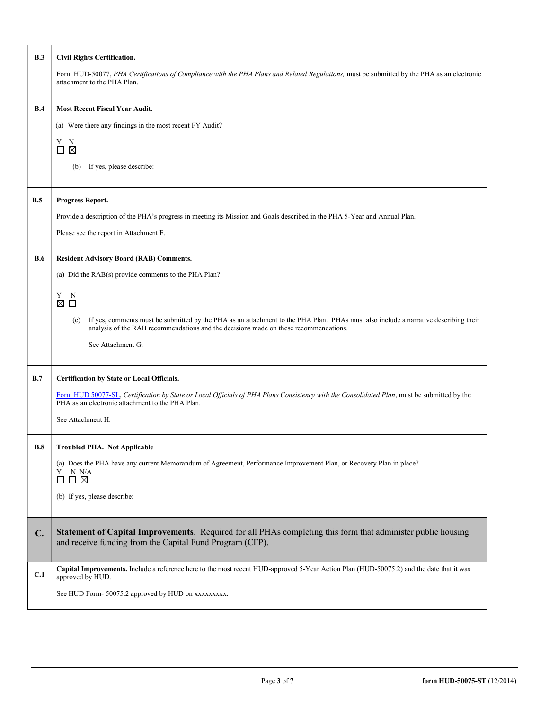| B.3        | <b>Civil Rights Certification.</b>                                                                                                                                                                                                 |  |  |  |  |  |
|------------|------------------------------------------------------------------------------------------------------------------------------------------------------------------------------------------------------------------------------------|--|--|--|--|--|
|            | Form HUD-50077, PHA Certifications of Compliance with the PHA Plans and Related Regulations, must be submitted by the PHA as an electronic<br>attachment to the PHA Plan.                                                          |  |  |  |  |  |
| B.4        | <b>Most Recent Fiscal Year Audit.</b>                                                                                                                                                                                              |  |  |  |  |  |
|            | (a) Were there any findings in the most recent FY Audit?                                                                                                                                                                           |  |  |  |  |  |
|            | Y<br>N<br>$\boxtimes$<br>$\Box$                                                                                                                                                                                                    |  |  |  |  |  |
|            | If yes, please describe:<br>(b)                                                                                                                                                                                                    |  |  |  |  |  |
| B.5        | Progress Report.                                                                                                                                                                                                                   |  |  |  |  |  |
|            | Provide a description of the PHA's progress in meeting its Mission and Goals described in the PHA 5-Year and Annual Plan.                                                                                                          |  |  |  |  |  |
|            | Please see the report in Attachment F.                                                                                                                                                                                             |  |  |  |  |  |
| <b>B.6</b> | <b>Resident Advisory Board (RAB) Comments.</b>                                                                                                                                                                                     |  |  |  |  |  |
|            | (a) Did the RAB(s) provide comments to the PHA Plan?                                                                                                                                                                               |  |  |  |  |  |
|            | Y<br>N                                                                                                                                                                                                                             |  |  |  |  |  |
|            | ⊠ □                                                                                                                                                                                                                                |  |  |  |  |  |
|            | If yes, comments must be submitted by the PHA as an attachment to the PHA Plan. PHAs must also include a narrative describing their<br>(c)<br>analysis of the RAB recommendations and the decisions made on these recommendations. |  |  |  |  |  |
|            | See Attachment G.                                                                                                                                                                                                                  |  |  |  |  |  |
| B.7        | Certification by State or Local Officials.                                                                                                                                                                                         |  |  |  |  |  |
|            | Form HUD 50077-SL, Certification by State or Local Officials of PHA Plans Consistency with the Consolidated Plan, must be submitted by the<br>PHA as an electronic attachment to the PHA Plan.                                     |  |  |  |  |  |
|            | See Attachment H.                                                                                                                                                                                                                  |  |  |  |  |  |
| B.8        | <b>Troubled PHA. Not Applicable</b>                                                                                                                                                                                                |  |  |  |  |  |
|            | (a) Does the PHA have any current Memorandum of Agreement, Performance Improvement Plan, or Recovery Plan in place?<br>N N/A<br>Y<br>$\boxtimes$<br>$\Box$                                                                         |  |  |  |  |  |
|            | (b) If yes, please describe:                                                                                                                                                                                                       |  |  |  |  |  |
| C.         | Statement of Capital Improvements. Required for all PHAs completing this form that administer public housing<br>and receive funding from the Capital Fund Program (CFP).                                                           |  |  |  |  |  |
| C.1        | Capital Improvements. Include a reference here to the most recent HUD-approved 5-Year Action Plan (HUD-50075.2) and the date that it was<br>approved by HUD.                                                                       |  |  |  |  |  |
|            | See HUD Form- 50075.2 approved by HUD on xxxxxxxxx.                                                                                                                                                                                |  |  |  |  |  |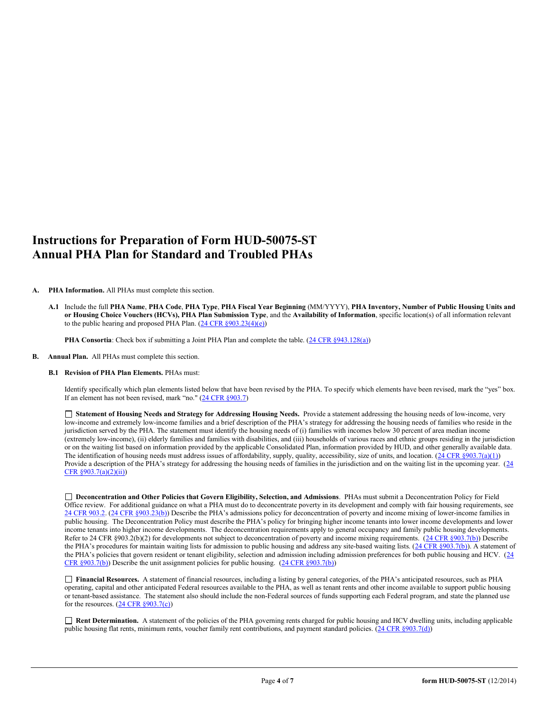## Instructions for Preparation of Form HUD-50075-ST Annual PHA Plan for Standard and Troubled PHAs

## A. PHA Information. All PHAs must complete this section.

A.1 Include the full PHA Name, PHA Code, PHA Type, PHA Fiscal Year Beginning (MM/YYYY), PHA Inventory, Number of Public Housing Units and or Housing Choice Vouchers (HCVs), PHA Plan Submission Type, and the Availability of Information, specific location(s) of all information relevant to the public hearing and proposed PHA Plan.  $(24 \text{ CFR } \frac{§903.23(4)(e)}{e})$ 

PHA Consortia: Check box if submitting a Joint PHA Plan and complete the table. (24 CFR §943.128(a))

B. Annual Plan. All PHAs must complete this section.

## B.1 Revision of PHA Plan Elements. PHAs must:

Identify specifically which plan elements listed below that have been revised by the PHA. To specify which elements have been revised, mark the "yes" box. If an element has not been revised, mark "no." (24 CFR §903.7)

 Statement of Housing Needs and Strategy for Addressing Housing Needs. Provide a statement addressing the housing needs of low-income, very low-income and extremely low-income families and a brief description of the PHA's strategy for addressing the housing needs of families who reside in the jurisdiction served by the PHA. The statement must identify the housing needs of (i) families with incomes below 30 percent of area median income (extremely low-income), (ii) elderly families and families with disabilities, and (iii) households of various races and ethnic groups residing in the jurisdiction or on the waiting list based on information provided by the applicable Consolidated Plan, information provided by HUD, and other generally available data. The identification of housing needs must address issues of affordability, supply, quality, accessibility, size of units, and location.  $(24 \text{ CFR } \text{§}903.7(a)(1))$ Provide a description of the PHA's strategy for addressing the housing needs of families in the jurisdiction and on the waiting list in the upcoming year.  $(24)$ CFR §903.7(a)(2)(ii))

 Deconcentration and Other Policies that Govern Eligibility, Selection, and Admissions. PHAs must submit a Deconcentration Policy for Field Office review. For additional guidance on what a PHA must do to deconcentrate poverty in its development and comply with fair housing requirements, see 24 CFR 903.2. (24 CFR §903.23(b)) Describe the PHA's admissions policy for deconcentration of poverty and income mixing of lower-income families in public housing. The Deconcentration Policy must describe the PHA's policy for bringing higher income tenants into lower income developments and lower income tenants into higher income developments. The deconcentration requirements apply to general occupancy and family public housing developments. Refer to 24 CFR §903.2(b)(2) for developments not subject to deconcentration of poverty and income mixing requirements. (24 CFR §903.7(b)) Describe the PHA's procedures for maintain waiting lists for admission to public housing and address any site-based waiting lists. (24 CFR §903.7(b)). A statement of the PHA's policies that govern resident or tenant eligibility, selection and admission including admission preferences for both public housing and HCV. (24 CFR §903.7(b)) Describe the unit assignment policies for public housing. (24 CFR §903.7(b))

 Financial Resources. A statement of financial resources, including a listing by general categories, of the PHA's anticipated resources, such as PHA operating, capital and other anticipated Federal resources available to the PHA, as well as tenant rents and other income available to support public housing or tenant-based assistance. The statement also should include the non-Federal sources of funds supporting each Federal program, and state the planned use for the resources.  $(24 \text{ CFR } \S 903.7(c))$ 

Rent Determination. A statement of the policies of the PHA governing rents charged for public housing and HCV dwelling units, including applicable public housing flat rents, minimum rents, voucher family rent contributions, and payment standard policies. (24 CFR §903.7(d))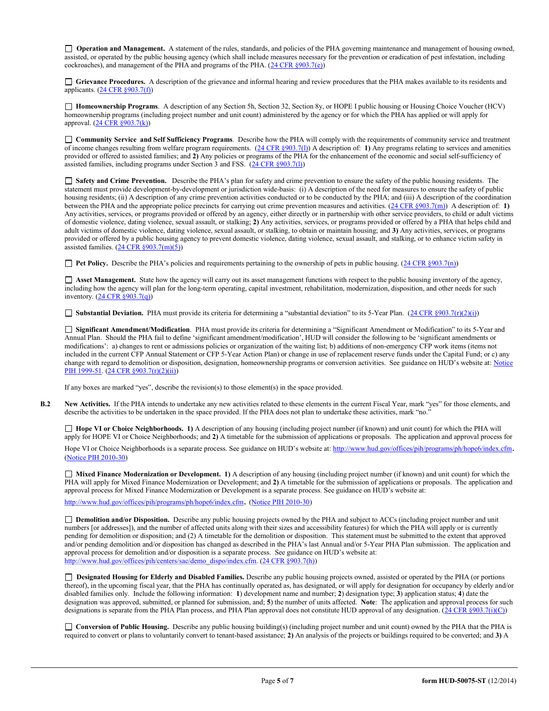□ Operation and Management. A statement of the rules, standards, and policies of the PHA governing maintenance and management of housing owned, assisted, or operated by the public housing agency (which shall include measures necessary for the prevention or eradication of pest infestation, including cockroaches), and management of the PHA and programs of the PHA.  $(24 \text{ CFR } \text{\textless} 903.7\text{(e)})$ 

Grievance Procedures. A description of the grievance and informal hearing and review procedures that the PHA makes available to its residents and applicants. (24 CFR §903.7(f))

□ **Homeownership Programs**. A description of any Section 5h, Section 32, Section 8y, or HOPE I public housing or Housing Choice Voucher (HCV) homeownership programs (including project number and unit count) administered by the agency or for which the PHA has applied or will apply for approval. (24 CFR §903.7(k))

 Community Service and Self Sufficiency Programs. Describe how the PHA will comply with the requirements of community service and treatment of income changes resulting from welfare program requirements.  $(24 \text{ CFR} \text{ §}903.7(l))$  A description of: 1) Any programs relating to services and amenities provided or offered to assisted families; and 2) Any policies or programs of the PHA for the enhancement of the economic and social self-sufficiency of assisted families, including programs under Section 3 and FSS. (24 CFR §903.7(l))

 Safety and Crime Prevention. Describe the PHA's plan for safety and crime prevention to ensure the safety of the public housing residents. The statement must provide development-by-development or jurisdiction wide-basis: (i) A description of the need for measures to ensure the safety of public housing residents; (ii) A description of any crime prevention activities conducted or to be conducted by the PHA; and (iii) A description of the coordination between the PHA and the appropriate police precincts for carrying out crime prevention measures and activities.  $(24 \text{ CFR } \text{$903.7(m)}$ ) A description of: 1) Any activities, services, or programs provided or offered by an agency, either directly or in partnership with other service providers, to child or adult victims of domestic violence, dating violence, sexual assault, or stalking; 2) Any activities, services, or programs provided or offered by a PHA that helps child and adult victims of domestic violence, dating violence, sexual assault, or stalking, to obtain or maintain housing; and 3) Any activities, services, or programs provided or offered by a public housing agency to prevent domestic violence, dating violence, sexual assault, and stalking, or to enhance victim safety in assisted families.  $(24 \text{ CFR } \frac{8903.7 \text{(m)}(5)}{24 \text{ CFR } \frac{1}{2} \cdot 1}$ 

**Pet Policy.** Describe the PHA's policies and requirements pertaining to the ownership of pets in public housing. (24 CFR §903.7(n))

 $\Box$  Asset Management. State how the agency will carry out its asset management functions with respect to the public housing inventory of the agency, including how the agency will plan for the long-term operating, capital investment, rehabilitation, modernization, disposition, and other needs for such inventory. (24 CFR §903.7(q))

Substantial Deviation. PHA must provide its criteria for determining a "substantial deviation" to its 5-Year Plan. (24 CFR §903.7(r)(2)(i))

 Significant Amendment/Modification. PHA must provide its criteria for determining a "Significant Amendment or Modification" to its 5-Year and Annual Plan. Should the PHA fail to define 'significant amendment/modification', HUD will consider the following to be 'significant amendments or modifications': a) changes to rent or admissions policies or organization of the waiting list; b) additions of non-emergency CFP work items (items not included in the current CFP Annual Statement or CFP 5-Year Action Plan) or change in use of replacement reserve funds under the Capital Fund; or c) any change with regard to demolition or disposition, designation, homeownership programs or conversion activities. See guidance on HUD's website at: Notice PIH 1999-51. (24 CFR §903.7(r)(2)(ii))

If any boxes are marked "yes", describe the revision(s) to those element(s) in the space provided.

B.2 New Activities. If the PHA intends to undertake any new activities related to these elements in the current Fiscal Year, mark "yes" for those elements, and describe the activities to be undertaken in the space provided. If the PHA does not plan to undertake these activities, mark "no."

□ Hope VI or Choice Neighborhoods. 1) A description of any housing (including project number (if known) and unit count) for which the PHA will apply for HOPE VI or Choice Neighborhoods; and 2) A timetable for the submission of applications or proposals. The application and approval process for

Hope VI or Choice Neighborhoods is a separate process. See guidance on HUD's website at: http://www.hud.gov/offices/pih/programs/ph/hope6/index.cfm. (Notice PIH 2010-30)

 Mixed Finance Modernization or Development. 1) A description of any housing (including project number (if known) and unit count) for which the PHA will apply for Mixed Finance Modernization or Development; and 2) A timetable for the submission of applications or proposals. The application and approval process for Mixed Finance Modernization or Development is a separate process. See guidance on HUD's website at:

http://www.hud.gov/offices/pih/programs/ph/hope6/index.cfm. (Notice PIH 2010-30)

□ Demolition and/or Disposition. Describe any public housing projects owned by the PHA and subject to ACCs (including project number and unit numbers [or addresses]), and the number of affected units along with their sizes and accessibility features) for which the PHA will apply or is currently pending for demolition or disposition; and (2) A timetable for the demolition or disposition. This statement must be submitted to the extent that approved and/or pending demolition and/or disposition has changed as described in the PHA's last Annual and/or 5-Year PHA Plan submission. The application and approval process for demolition and/or disposition is a separate process. See guidance on HUD's website at: http://www.hud.gov/offices/pih/centers/sac/demo\_dispo/index.cfm. (24 CFR §903.7(h))

 Designated Housing for Elderly and Disabled Families. Describe any public housing projects owned, assisted or operated by the PHA (or portions thereof), in the upcoming fiscal year, that the PHA has continually operated as, has designated, or will apply for designation for occupancy by elderly and/or disabled families only. Include the following information: 1) development name and number; 2) designation type; 3) application status; 4) date the designation was approved, submitted, or planned for submission, and; 5) the number of units affected. Note: The application and approval process for such designations is separate from the PHA Plan process, and PHA Plan approval does not constitute HUD approval of any designation. (24 CFR §903.7(i)(C))

 Conversion of Public Housing. Describe any public housing building(s) (including project number and unit count) owned by the PHA that the PHA is required to convert or plans to voluntarily convert to tenant-based assistance; 2) An analysis of the projects or buildings required to be converted; and 3) A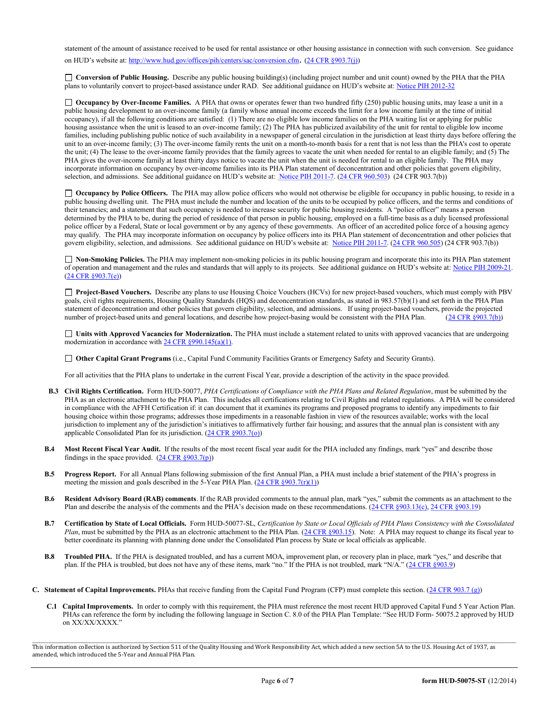statement of the amount of assistance received to be used for rental assistance or other housing assistance in connection with such conversion. See guidance on HUD's website at: http://www.hud.gov/offices/pih/centers/sac/conversion.cfm. (24 CFR §903.7(j))

 Conversion of Public Housing. Describe any public housing building(s) (including project number and unit count) owned by the PHA that the PHA plans to voluntarily convert to project-based assistance under RAD. See additional guidance on HUD's website at: Notice PIH 2012-32

 $\Box$  Occupancy by Over-Income Families. A PHA that owns or operates fewer than two hundred fifty (250) public housing units, may lease a unit in a public housing development to an over-income family (a family whose annual income exceeds the limit for a low income family at the time of initial occupancy), if all the following conditions are satisfied: (1) There are no eligible low income families on the PHA waiting list or applying for public housing assistance when the unit is leased to an over-income family; (2) The PHA has publicized availability of the unit for rental to eligible low income families, including publishing public notice of such availability in a newspaper of general circulation in the jurisdiction at least thirty days before offering the unit to an over-income family; (3) The over-income family rents the unit on a month-to-month basis for a rent that is not less than the PHA's cost to operate the unit; (4) The lease to the over-income family provides that the family agrees to vacate the unit when needed for rental to an eligible family; and (5) The PHA gives the over-income family at least thirty days notice to vacate the unit when the unit is needed for rental to an eligible family. The PHA may incorporate information on occupancy by over-income families into its PHA Plan statement of deconcentration and other policies that govern eligibility, selection, and admissions. See additional guidance on HUD's website at: Notice PIH 2011-7. (24 CFR 960.503) (24 CFR 903.7(b))

 Occupancy by Police Officers. The PHA may allow police officers who would not otherwise be eligible for occupancy in public housing, to reside in a public housing dwelling unit. The PHA must include the number and location of the units to be occupied by police officers, and the terms and conditions of their tenancies; and a statement that such occupancy is needed to increase security for public housing residents. A "police officer" means a person determined by the PHA to be, during the period of residence of that person in public housing, employed on a full-time basis as a duly licensed professional police officer by a Federal, State or local government or by any agency of these governments. An officer of an accredited police force of a housing agency may qualify. The PHA may incorporate information on occupancy by police officers into its PHA Plan statement of deconcentration and other policies that govern eligibility, selection, and admissions. See additional guidance on HUD's website at: Notice PIH 2011-7. (24 CFR 960.505) (24 CFR 903.7(b))

 Non-Smoking Policies. The PHA may implement non-smoking policies in its public housing program and incorporate this into its PHA Plan statement of operation and management and the rules and standards that will apply to its projects. See additional guidance on HUD's website at: Notice PIH 2009-21. (24 CFR §903.7(e))

□ Project-Based Vouchers. Describe any plans to use Housing Choice Vouchers (HCVs) for new project-based vouchers, which must comply with PBV goals, civil rights requirements, Housing Quality Standards (HQS) and deconcentration standards, as stated in 983.57(b)(1) and set forth in the PHA Plan statement of deconcentration and other policies that govern eligibility, selection, and admissions. If using project-based vouchers, provide the projected number of project-based units and general locations, and describe how project-basing would be consistent with the PHA Plan. (24 CFR §903.7(b))

 Units with Approved Vacancies for Modernization. The PHA must include a statement related to units with approved vacancies that are undergoing modernization in accordance with 24 CFR  $\S 990.145(a)(1)$ .

Other Capital Grant Programs (i.e., Capital Fund Community Facilities Grants or Emergency Safety and Security Grants).

For all activities that the PHA plans to undertake in the current Fiscal Year, provide a description of the activity in the space provided.

- B.3 Civil Rights Certification. Form HUD-50077, PHA Certifications of Compliance with the PHA Plans and Related Regulation, must be submitted by the PHA as an electronic attachment to the PHA Plan. This includes all certifications relating to Civil Rights and related regulations. A PHA will be considered in compliance with the AFFH Certification if: it can document that it examines its programs and proposed programs to identify any impediments to fair housing choice within those programs; addresses those impediments in a reasonable fashion in view of the resources available; works with the local jurisdiction to implement any of the jurisdiction's initiatives to affirmatively further fair housing; and assures that the annual plan is consistent with any applicable Consolidated Plan for its jurisdiction.  $(24 \text{ CFR } \S 903.7(0))$
- B.4 Most Recent Fiscal Year Audit. If the results of the most recent fiscal year audit for the PHA included any findings, mark "yes" and describe those findings in the space provided.  $(24 \text{ CFR } \S 903.7(p))$
- B.5 Progress Report. For all Annual Plans following submission of the first Annual Plan, a PHA must include a brief statement of the PHA's progress in meeting the mission and goals described in the 5-Year PHA Plan.  $(24 \text{ CFR } \S 903.7(r)(1))$
- B.6 Resident Advisory Board (RAB) comments. If the RAB provided comments to the annual plan, mark "yes," submit the comments as an attachment to the Plan and describe the analysis of the comments and the PHA's decision made on these recommendations. (24 CFR §903.13(c), 24 CFR §903.19)
- B.7 Certification by State of Local Officials. Form HUD-50077-SL, Certification by State or Local Officials of PHA Plans Consistency with the Consolidated Plan, must be submitted by the PHA as an electronic attachment to the PHA Plan.  $(24 \text{ CFR } \text{$903.15}).$  Note: A PHA may request to change its fiscal year to better coordinate its planning with planning done under the Consolidated Plan process by State or local officials as applicable.
- B.8 Troubled PHA. If the PHA is designated troubled, and has a current MOA, improvement plan, or recovery plan in place, mark "yes," and describe that plan. If the PHA is troubled, but does not have any of these items, mark "no." If the PHA is not troubled, mark "N/A." (24 CFR §903.9)
- C. Statement of Capital Improvements. PHAs that receive funding from the Capital Fund Program (CFP) must complete this section. (24 CFR 903.7 (g))
	- C.1 Capital Improvements. In order to comply with this requirement, the PHA must reference the most recent HUD approved Capital Fund 5 Year Action Plan. PHAs can reference the form by including the following language in Section C. 8.0 of the PHA Plan Template: "See HUD Form- 50075.2 approved by HUD on XX/XX/XXXX."

This information collection is authorized by Section 511 of the Quality Housing and Work Responsibility Act, which added a new section 5A to the U.S. Housing Act of 1937, as amended, which introduced the 5-Year and Annual PHA Plan.